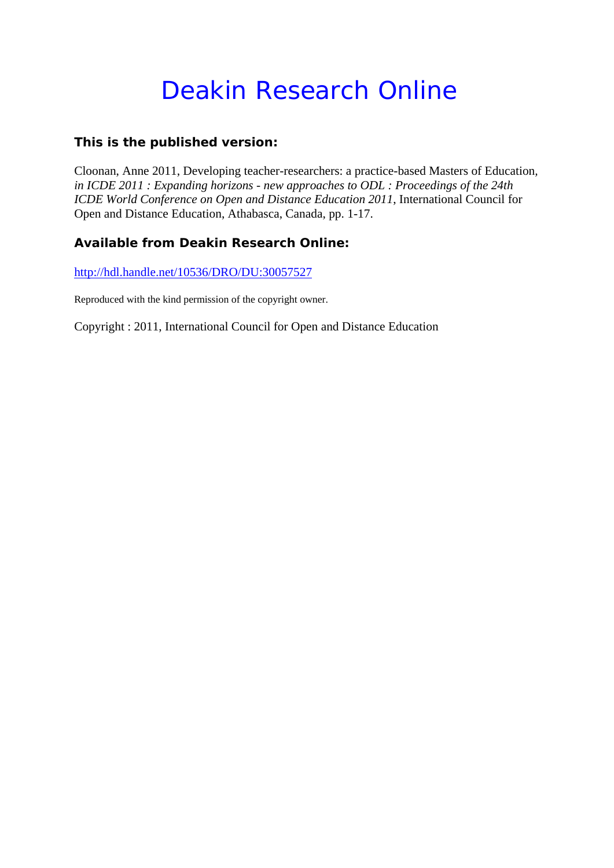# Deakin Research Online

# **This is the published version:**

Cloonan, Anne 2011, Developing teacher-researchers: a practice-based Masters of Education*, in ICDE 2011 : Expanding horizons - new approaches to ODL : Proceedings of the 24th ICDE World Conference on Open and Distance Education 2011*, International Council for Open and Distance Education, Athabasca, Canada, pp. 1-17.

# **Available from Deakin Research Online:**

http://hdl.handle.net/10536/DRO/DU:30057527

Reproduced with the kind permission of the copyright owner.

Copyright : 2011, International Council for Open and Distance Education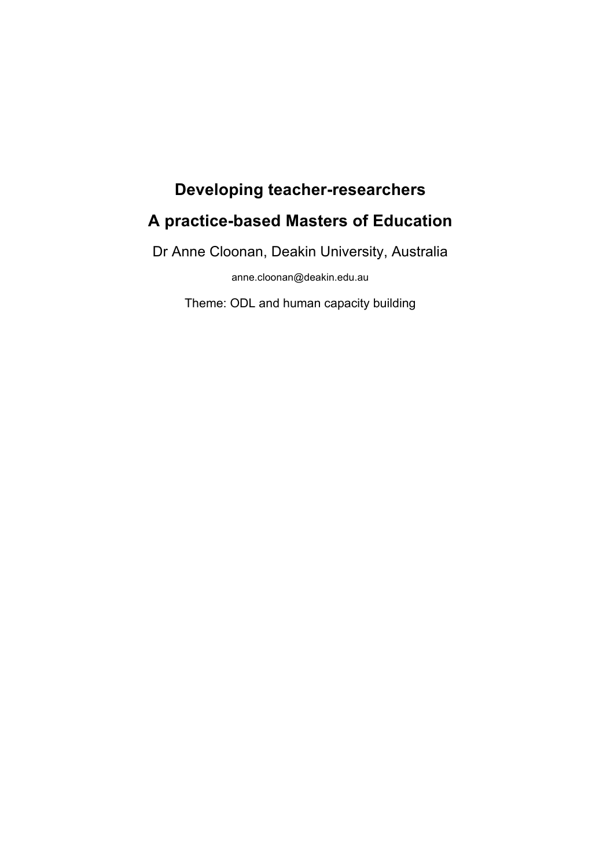# **Developing teacher-researchers**

# **A practice-based Masters of Education**

Dr Anne Cloonan, Deakin University, Australia

anne.cloonan@deakin.edu.au

Theme: ODL and human capacity building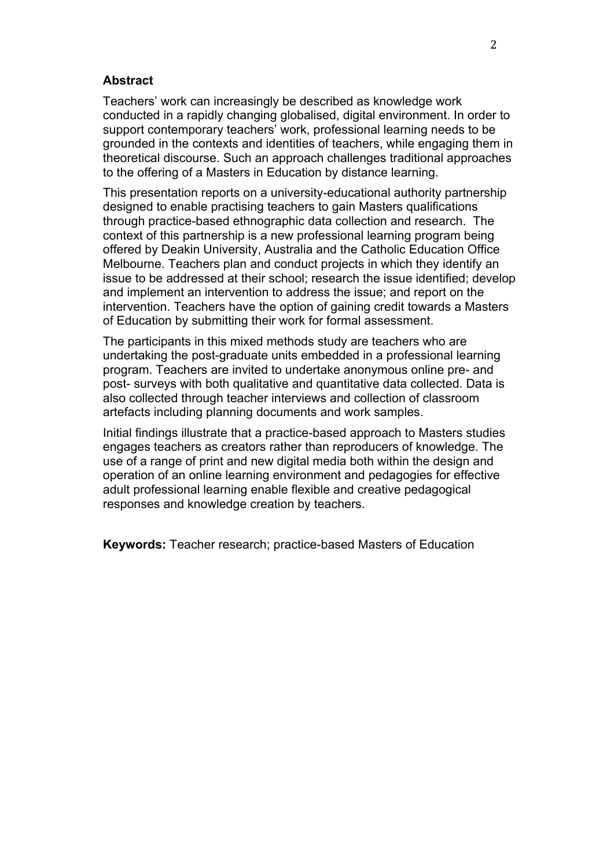#### **Abstract**

Teachers' work can increasingly be described as knowledge work conducted in a rapidly changing globalised, digital environment. In order to support contemporary teachers' work, professional learning needs to be grounded in the contexts and identities of teachers, while engaging them in theoretical discourse. Such an approach challenges traditional approaches to the offering of a Masters in Education by distance learning.

This presentation reports on a university-educational authority partnership designed to enable practising teachers to gain Masters qualifications through practice-based ethnographic data collection and research. The context of this partnership is a new professional learning program being offered by Deakin University, Australia and the Catholic Education Office Melbourne. Teachers plan and conduct projects in which they identify an issue to be addressed at their school; research the issue identified; develop and implement an intervention to address the issue; and report on the intervention. Teachers have the option of gaining credit towards a Masters of Education by submitting their work for formal assessment.

The participants in this mixed methods study are teachers who are undertaking the post-graduate units embedded in a professional learning program. Teachers are invited to undertake anonymous online pre- and post- surveys with both qualitative and quantitative data collected. Data is also collected through teacher interviews and collection of classroom artefacts including planning documents and work samples.

Initial findings illustrate that a practice-based approach to Masters studies engages teachers as creators rather than reproducers of knowledge. The use of a range of print and new digital media both within the design and operation of an online learning environment and pedagogies for effective adult professional learning enable flexible and creative pedagogical responses and knowledge creation by teachers.

**Keywords:** Teacher research; practice-based Masters of Education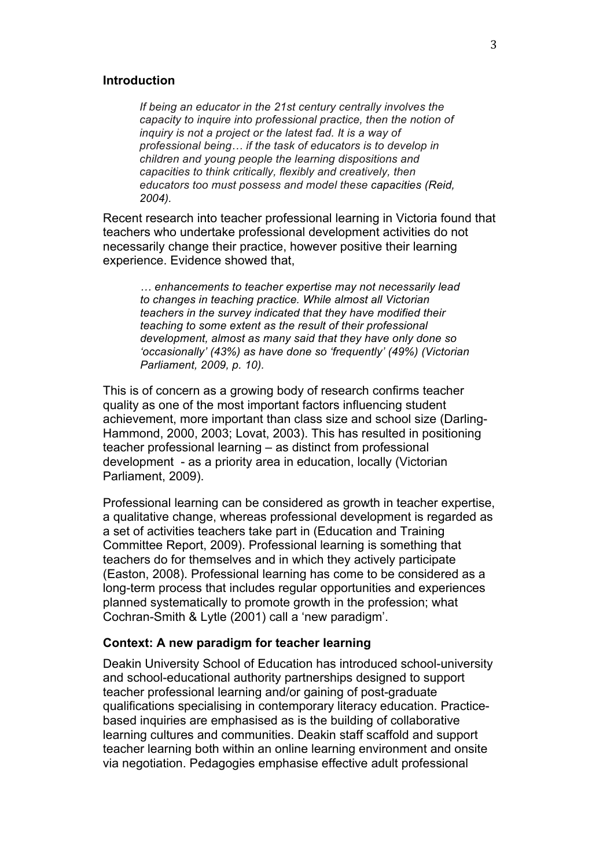#### **Introduction**

*If being an educator in the 21st century centrally involves the capacity to inquire into professional practice, then the notion of inquiry is not a project or the latest fad. It is a way of professional being… if the task of educators is to develop in children and young people the learning dispositions and capacities to think critically, flexibly and creatively, then educators too must possess and model these capacities (Reid, 2004).*

Recent research into teacher professional learning in Victoria found that teachers who undertake professional development activities do not necessarily change their practice, however positive their learning experience. Evidence showed that,

*… enhancements to teacher expertise may not necessarily lead to changes in teaching practice. While almost all Victorian teachers in the survey indicated that they have modified their teaching to some extent as the result of their professional development, almost as many said that they have only done so 'occasionally' (43%) as have done so 'frequently' (49%) (Victorian Parliament, 2009, p. 10).*

This is of concern as a growing body of research confirms teacher quality as one of the most important factors influencing student achievement, more important than class size and school size (Darling-Hammond, 2000, 2003; Lovat, 2003). This has resulted in positioning teacher professional learning – as distinct from professional development - as a priority area in education, locally (Victorian Parliament, 2009).

Professional learning can be considered as growth in teacher expertise, a qualitative change, whereas professional development is regarded as a set of activities teachers take part in (Education and Training Committee Report, 2009). Professional learning is something that teachers do for themselves and in which they actively participate (Easton, 2008). Professional learning has come to be considered as a long-term process that includes regular opportunities and experiences planned systematically to promote growth in the profession; what Cochran-Smith & Lytle (2001) call a 'new paradigm'.

#### **Context: A new paradigm for teacher learning**

Deakin University School of Education has introduced school-university and school-educational authority partnerships designed to support teacher professional learning and/or gaining of post-graduate qualifications specialising in contemporary literacy education. Practicebased inquiries are emphasised as is the building of collaborative learning cultures and communities. Deakin staff scaffold and support teacher learning both within an online learning environment and onsite via negotiation. Pedagogies emphasise effective adult professional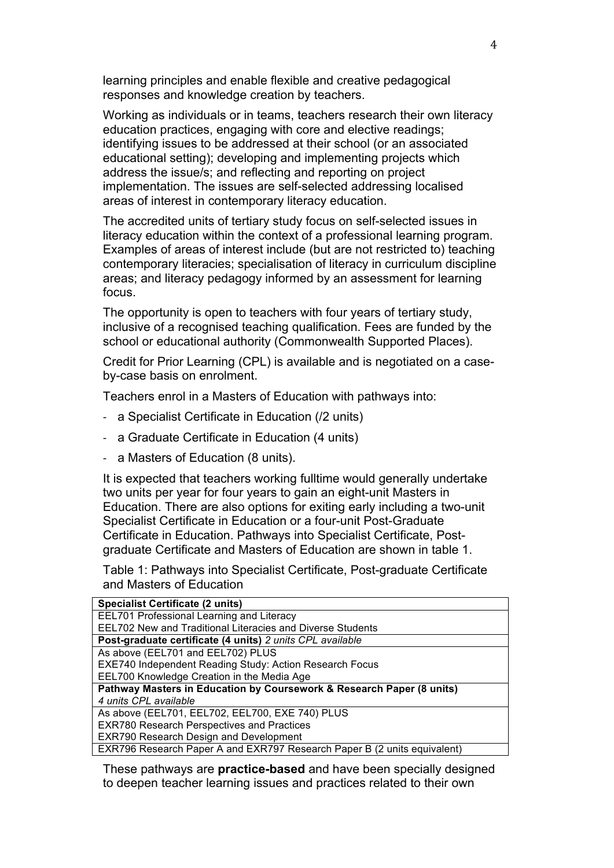learning principles and enable flexible and creative pedagogical responses and knowledge creation by teachers.

Working as individuals or in teams, teachers research their own literacy education practices, engaging with core and elective readings; identifying issues to be addressed at their school (or an associated educational setting); developing and implementing projects which address the issue/s; and reflecting and reporting on project implementation. The issues are self-selected addressing localised areas of interest in contemporary literacy education.

The accredited units of tertiary study focus on self-selected issues in literacy education within the context of a professional learning program. Examples of areas of interest include (but are not restricted to) teaching contemporary literacies; specialisation of literacy in curriculum discipline areas; and literacy pedagogy informed by an assessment for learning focus.

The opportunity is open to teachers with four years of tertiary study, inclusive of a recognised teaching qualification. Fees are funded by the school or educational authority (Commonwealth Supported Places).

Credit for Prior Learning (CPL) is available and is negotiated on a caseby-case basis on enrolment.

Teachers enrol in a Masters of Education with pathways into:

- a Specialist Certificate in Education (/2 units)
- a Graduate Certificate in Education (4 units)
- a Masters of Education (8 units).

It is expected that teachers working fulltime would generally undertake two units per year for four years to gain an eight-unit Masters in Education. There are also options for exiting early including a two-unit Specialist Certificate in Education or a four-unit Post-Graduate Certificate in Education. Pathways into Specialist Certificate, Postgraduate Certificate and Masters of Education are shown in table 1.

Table 1: Pathways into Specialist Certificate, Post-graduate Certificate and Masters of Education

These pathways are **practice-based** and have been specially designed to deepen teacher learning issues and practices related to their own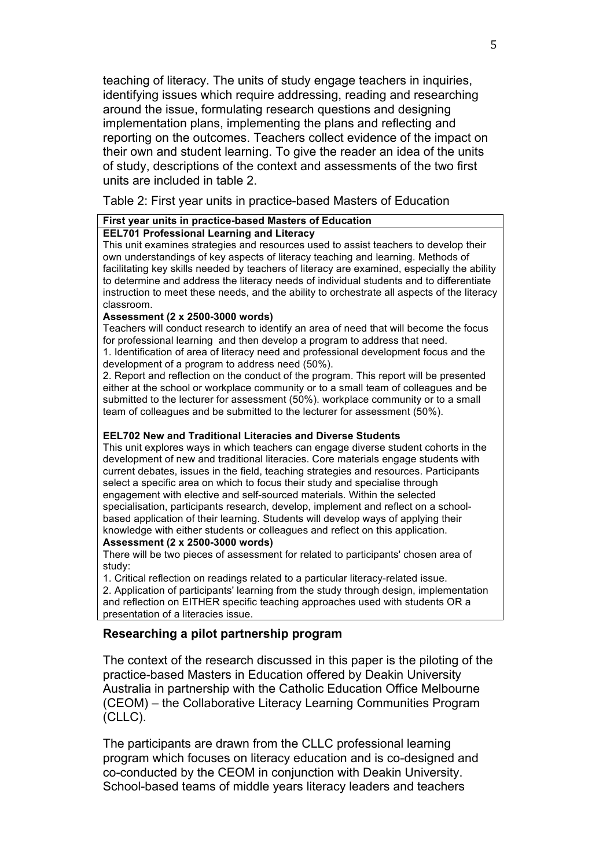teaching of literacy. The units of study engage teachers in inquiries, identifying issues which require addressing, reading and researching around the issue, formulating research questions and designing implementation plans, implementing the plans and reflecting and reporting on the outcomes. Teachers collect evidence of the impact on their own and student learning. To give the reader an idea of the units of study, descriptions of the context and assessments of the two first units are included in table 2.

Table 2: First year units in practice-based Masters of Education

#### **First year units in practice-based Masters of Education**

#### **EEL701 Professional Learning and Literacy**

This unit examines strategies and resources used to assist teachers to develop their own understandings of key aspects of literacy teaching and learning. Methods of facilitating key skills needed by teachers of literacy are examined, especially the ability to determine and address the literacy needs of individual students and to differentiate instruction to meet these needs, and the ability to orchestrate all aspects of the literacy classroom.

#### **Assessment (2 x 2500-3000 words)**

Teachers will conduct research to identify an area of need that will become the focus for professional learning and then develop a program to address that need.

1. Identification of area of literacy need and professional development focus and the development of a program to address need (50%).

2. Report and reflection on the conduct of the program. This report will be presented either at the school or workplace community or to a small team of colleagues and be submitted to the lecturer for assessment (50%). workplace community or to a small team of colleagues and be submitted to the lecturer for assessment (50%).

#### **EEL702 New and Traditional Literacies and Diverse Students**

This unit explores ways in which teachers can engage diverse student cohorts in the development of new and traditional literacies. Core materials engage students with current debates, issues in the field, teaching strategies and resources. Participants select a specific area on which to focus their study and specialise through engagement with elective and self-sourced materials. Within the selected specialisation, participants research, develop, implement and reflect on a schoolbased application of their learning. Students will develop ways of applying their knowledge with either students or colleagues and reflect on this application.

#### **Assessment (2 x 2500-3000 words)**

There will be two pieces of assessment for related to participants' chosen area of study:

1. Critical reflection on readings related to a particular literacy-related issue.

2. Application of participants' learning from the study through design, implementation and reflection on EITHER specific teaching approaches used with students OR a presentation of a literacies issue.

# **Researching a pilot partnership program**

The context of the research discussed in this paper is the piloting of the practice-based Masters in Education offered by Deakin University Australia in partnership with the Catholic Education Office Melbourne (CEOM) – the Collaborative Literacy Learning Communities Program (CLLC).

The participants are drawn from the CLLC professional learning program which focuses on literacy education and is co-designed and co-conducted by the CEOM in conjunction with Deakin University. School-based teams of middle years literacy leaders and teachers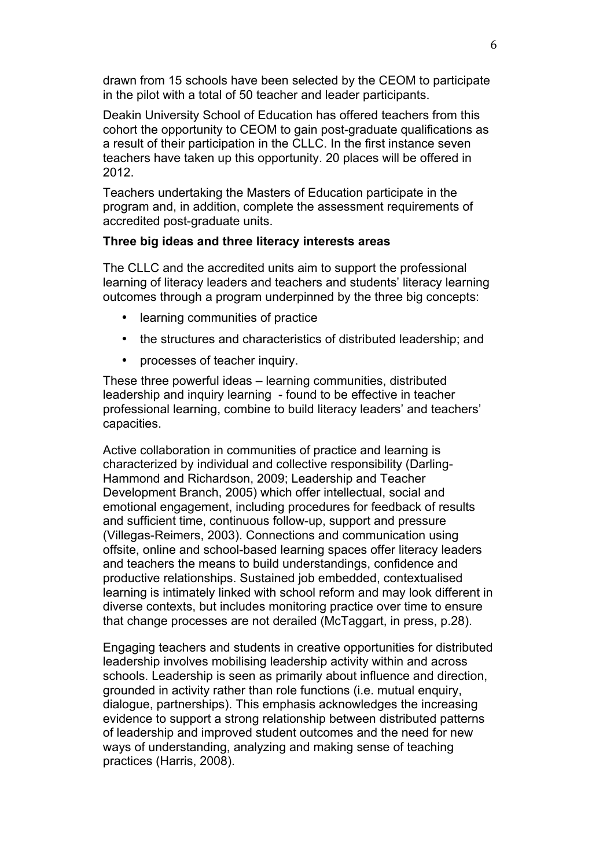drawn from 15 schools have been selected by the CEOM to participate in the pilot with a total of 50 teacher and leader participants.

Deakin University School of Education has offered teachers from this cohort the opportunity to CEOM to gain post-graduate qualifications as a result of their participation in the CLLC. In the first instance seven teachers have taken up this opportunity. 20 places will be offered in 2012.

Teachers undertaking the Masters of Education participate in the program and, in addition, complete the assessment requirements of accredited post-graduate units.

# **Three big ideas and three literacy interests areas**

The CLLC and the accredited units aim to support the professional learning of literacy leaders and teachers and students' literacy learning outcomes through a program underpinned by the three big concepts:

- learning communities of practice
- the structures and characteristics of distributed leadership; and
- processes of teacher inquiry.

These three powerful ideas – learning communities, distributed leadership and inquiry learning - found to be effective in teacher professional learning, combine to build literacy leaders' and teachers' capacities.

Active collaboration in communities of practice and learning is characterized by individual and collective responsibility (Darling-Hammond and Richardson, 2009; Leadership and Teacher Development Branch, 2005) which offer intellectual, social and emotional engagement, including procedures for feedback of results and sufficient time, continuous follow-up, support and pressure (Villegas-Reimers, 2003). Connections and communication using offsite, online and school-based learning spaces offer literacy leaders and teachers the means to build understandings, confidence and productive relationships. Sustained job embedded, contextualised learning is intimately linked with school reform and may look different in diverse contexts, but includes monitoring practice over time to ensure that change processes are not derailed (McTaggart, in press, p.28).

Engaging teachers and students in creative opportunities for distributed leadership involves mobilising leadership activity within and across schools. Leadership is seen as primarily about influence and direction, grounded in activity rather than role functions (i.e. mutual enquiry, dialogue, partnerships). This emphasis acknowledges the increasing evidence to support a strong relationship between distributed patterns of leadership and improved student outcomes and the need for new ways of understanding, analyzing and making sense of teaching practices (Harris, 2008).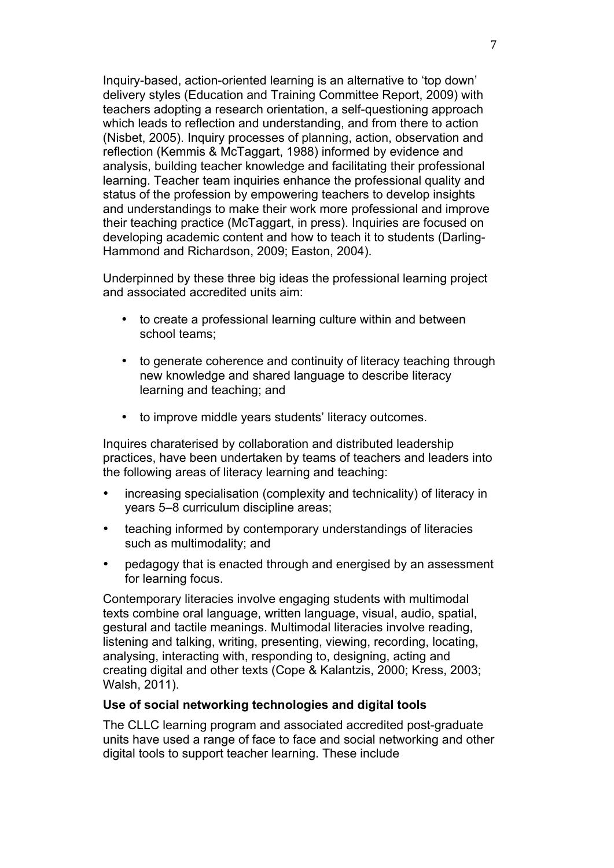Inquiry-based, action-oriented learning is an alternative to 'top down' delivery styles (Education and Training Committee Report, 2009) with teachers adopting a research orientation, a self-questioning approach which leads to reflection and understanding, and from there to action (Nisbet, 2005). Inquiry processes of planning, action, observation and reflection (Kemmis & McTaggart, 1988) informed by evidence and analysis, building teacher knowledge and facilitating their professional learning. Teacher team inquiries enhance the professional quality and status of the profession by empowering teachers to develop insights and understandings to make their work more professional and improve their teaching practice (McTaggart, in press). Inquiries are focused on developing academic content and how to teach it to students (Darling-Hammond and Richardson, 2009; Easton, 2004).

Underpinned by these three big ideas the professional learning project and associated accredited units aim:

- to create a professional learning culture within and between school teams;
- to generate coherence and continuity of literacy teaching through new knowledge and shared language to describe literacy learning and teaching; and
- to improve middle years students' literacy outcomes.

Inquires charaterised by collaboration and distributed leadership practices, have been undertaken by teams of teachers and leaders into the following areas of literacy learning and teaching:

- increasing specialisation (complexity and technicality) of literacy in years 5–8 curriculum discipline areas;
- teaching informed by contemporary understandings of literacies such as multimodality; and
- pedagogy that is enacted through and energised by an assessment for learning focus.

Contemporary literacies involve engaging students with multimodal texts combine oral language, written language, visual, audio, spatial, gestural and tactile meanings. Multimodal literacies involve reading, listening and talking, writing, presenting, viewing, recording, locating, analysing, interacting with, responding to, designing, acting and creating digital and other texts (Cope & Kalantzis, 2000; Kress, 2003; Walsh, 2011).

# **Use of social networking technologies and digital tools**

The CLLC learning program and associated accredited post-graduate units have used a range of face to face and social networking and other digital tools to support teacher learning. These include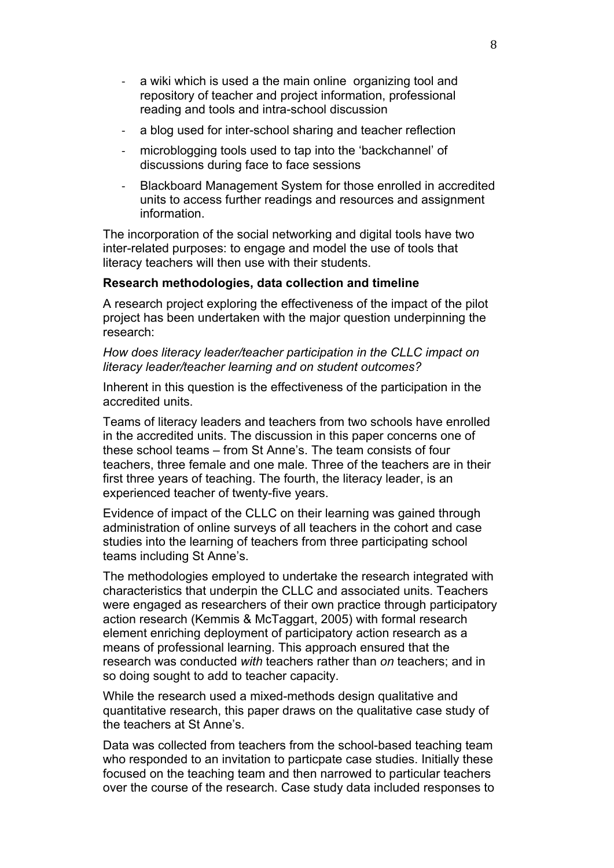- a wiki which is used a the main online organizing tool and repository of teacher and project information, professional reading and tools and intra-school discussion
- a blog used for inter-school sharing and teacher reflection
- microblogging tools used to tap into the 'backchannel' of discussions during face to face sessions
- Blackboard Management System for those enrolled in accredited units to access further readings and resources and assignment information.

The incorporation of the social networking and digital tools have two inter-related purposes: to engage and model the use of tools that literacy teachers will then use with their students.

#### **Research methodologies, data collection and timeline**

A research project exploring the effectiveness of the impact of the pilot project has been undertaken with the major question underpinning the research:

*How does literacy leader/teacher participation in the CLLC impact on literacy leader/teacher learning and on student outcomes?*

Inherent in this question is the effectiveness of the participation in the accredited units.

Teams of literacy leaders and teachers from two schools have enrolled in the accredited units. The discussion in this paper concerns one of these school teams – from St Anne's. The team consists of four teachers, three female and one male. Three of the teachers are in their first three years of teaching. The fourth, the literacy leader, is an experienced teacher of twenty-five years.

Evidence of impact of the CLLC on their learning was gained through administration of online surveys of all teachers in the cohort and case studies into the learning of teachers from three participating school teams including St Anne's.

The methodologies employed to undertake the research integrated with characteristics that underpin the CLLC and associated units. Teachers were engaged as researchers of their own practice through participatory action research (Kemmis & McTaggart, 2005) with formal research element enriching deployment of participatory action research as a means of professional learning. This approach ensured that the research was conducted *with* teachers rather than *on* teachers; and in so doing sought to add to teacher capacity.

While the research used a mixed-methods design qualitative and quantitative research, this paper draws on the qualitative case study of the teachers at St Anne's.

Data was collected from teachers from the school-based teaching team who responded to an invitation to particpate case studies. Initially these focused on the teaching team and then narrowed to particular teachers over the course of the research. Case study data included responses to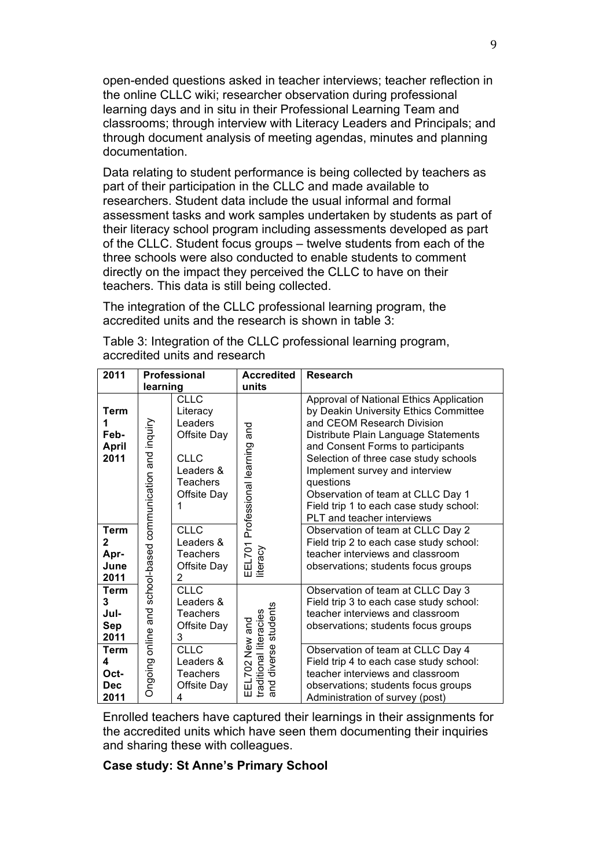open-ended questions asked in teacher interviews; teacher reflection in the online CLLC wiki; researcher observation during professional learning days and in situ in their Professional Learning Team and classrooms; through interview with Literacy Leaders and Principals; and through document analysis of meeting agendas, minutes and planning documentation.

Data relating to student performance is being collected by teachers as part of their participation in the CLLC and made available to researchers. Student data include the usual informal and formal assessment tasks and work samples undertaken by students as part of their literacy school program including assessments developed as part of the CLLC. Student focus groups – twelve students from each of the three schools were also conducted to enable students to comment directly on the impact they perceived the CLLC to have on their teachers. This data is still being collected.

The integration of the CLLC professional learning program, the accredited units and the research is shown in table 3:

| 2011                                        | <b>Professional</b>                                                   |                                                                                                          | <b>Accredited</b>                                                                                           | <b>Research</b>                                                                                                                                                                                                                                                                                                                                                                                   |
|---------------------------------------------|-----------------------------------------------------------------------|----------------------------------------------------------------------------------------------------------|-------------------------------------------------------------------------------------------------------------|---------------------------------------------------------------------------------------------------------------------------------------------------------------------------------------------------------------------------------------------------------------------------------------------------------------------------------------------------------------------------------------------------|
|                                             | learning                                                              |                                                                                                          | units                                                                                                       |                                                                                                                                                                                                                                                                                                                                                                                                   |
| <b>Term</b><br>Feb-<br><b>April</b><br>2011 | and inquiry<br>communication<br>school-based<br>online and<br>Ongoing | <b>CLLC</b><br>Literacy<br>Leaders<br>Offsite Day<br>CLLC<br>Leaders &<br><b>Teachers</b><br>Offsite Day | and<br>Professional learning<br>EEL701<br>literacy                                                          | Approval of National Ethics Application<br>by Deakin University Ethics Committee<br>and CEOM Research Division<br>Distribute Plain Language Statements<br>and Consent Forms to participants<br>Selection of three case study schools<br>Implement survey and interview<br>questions<br>Observation of team at CLLC Day 1<br>Field trip 1 to each case study school:<br>PLT and teacher interviews |
| Term<br>2<br>Apr-<br>June<br>2011           |                                                                       | <b>CLLC</b><br>Leaders &<br><b>Teachers</b><br>Offsite Day<br>$\overline{2}$                             |                                                                                                             | Observation of team at CLLC Day 2<br>Field trip 2 to each case study school:<br>teacher interviews and classroom<br>observations; students focus groups                                                                                                                                                                                                                                           |
| <b>Term</b><br>3<br>Jul-<br>Sep<br>2011     |                                                                       | <b>CLLC</b><br>Leaders &<br><b>Teachers</b><br>Offsite Day<br>3                                          | students<br>traditional literacies<br>and<br>$\sum_{i=1}^{\infty}$<br>diverse<br>z<br>702<br>and<br>ᇤ<br>īп | Observation of team at CLLC Day 3<br>Field trip 3 to each case study school:<br>teacher interviews and classroom<br>observations; students focus groups                                                                                                                                                                                                                                           |
| Term<br>4<br>Oct-<br><b>Dec</b><br>2011     |                                                                       | <b>CLLC</b><br>Leaders &<br><b>Teachers</b><br>Offsite Day<br>4                                          |                                                                                                             | Observation of team at CLLC Day 4<br>Field trip 4 to each case study school:<br>teacher interviews and classroom<br>observations; students focus groups<br>Administration of survey (post)                                                                                                                                                                                                        |

Table 3: Integration of the CLLC professional learning program, accredited units and research

Enrolled teachers have captured their learnings in their assignments for the accredited units which have seen them documenting their inquiries and sharing these with colleagues.

# **Case study: St Anne's Primary School**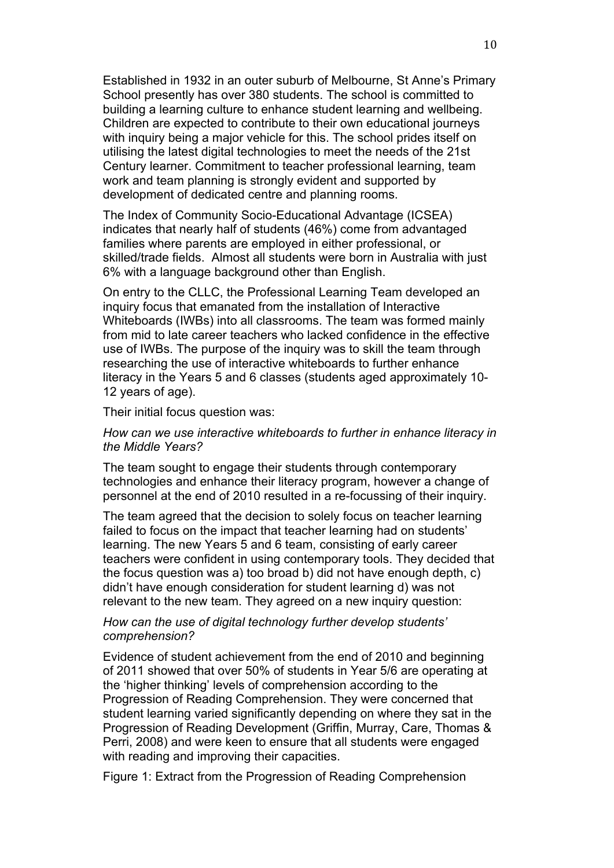Established in 1932 in an outer suburb of Melbourne, St Anne's Primary School presently has over 380 students. The school is committed to building a learning culture to enhance student learning and wellbeing. Children are expected to contribute to their own educational journeys with inquiry being a major vehicle for this. The school prides itself on utilising the latest digital technologies to meet the needs of the 21st Century learner. Commitment to teacher professional learning, team work and team planning is strongly evident and supported by development of dedicated centre and planning rooms.

The Index of Community Socio-Educational Advantage (ICSEA) indicates that nearly half of students (46%) come from advantaged families where parents are employed in either professional, or skilled/trade fields. Almost all students were born in Australia with just 6% with a language background other than English.

On entry to the CLLC, the Professional Learning Team developed an inquiry focus that emanated from the installation of Interactive Whiteboards (IWBs) into all classrooms. The team was formed mainly from mid to late career teachers who lacked confidence in the effective use of IWBs. The purpose of the inquiry was to skill the team through researching the use of interactive whiteboards to further enhance literacy in the Years 5 and 6 classes (students aged approximately 10- 12 years of age).

Their initial focus question was:

# *How can we use interactive whiteboards to further in enhance literacy in the Middle Years?*

The team sought to engage their students through contemporary technologies and enhance their literacy program, however a change of personnel at the end of 2010 resulted in a re-focussing of their inquiry.

The team agreed that the decision to solely focus on teacher learning failed to focus on the impact that teacher learning had on students' learning. The new Years 5 and 6 team, consisting of early career teachers were confident in using contemporary tools. They decided that the focus question was a) too broad b) did not have enough depth, c) didn't have enough consideration for student learning d) was not relevant to the new team. They agreed on a new inquiry question:

# *How can the use of digital technology further develop students' comprehension?*

Evidence of student achievement from the end of 2010 and beginning of 2011 showed that over 50% of students in Year 5/6 are operating at the 'higher thinking' levels of comprehension according to the Progression of Reading Comprehension. They were concerned that student learning varied significantly depending on where they sat in the Progression of Reading Development (Griffin, Murray, Care, Thomas & Perri, 2008) and were keen to ensure that all students were engaged with reading and improving their capacities.

Figure 1: Extract from the Progression of Reading Comprehension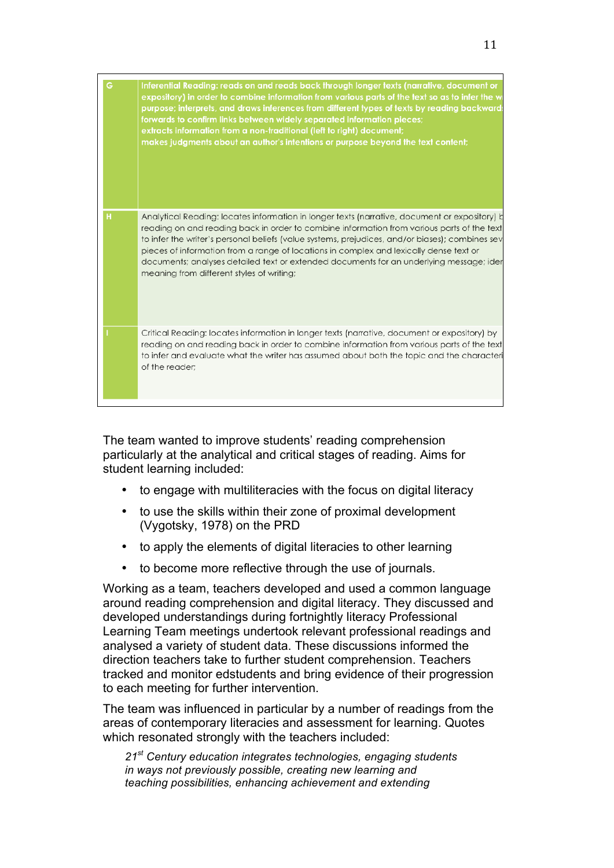| G | Inferential Reading: reads on and reads back through longer texts (narrative, document or<br>expository) in order to combine information from various parts of the text so as to infer the w<br>purpose; interprets, and draws inferences from different types of texts by reading backward:<br>forwards to confirm links between widely separated information pieces;<br>extracts information from a non-traditional (left to right) document;<br>makes judgments about an author's intentions or purpose beyond the text content; |
|---|-------------------------------------------------------------------------------------------------------------------------------------------------------------------------------------------------------------------------------------------------------------------------------------------------------------------------------------------------------------------------------------------------------------------------------------------------------------------------------------------------------------------------------------|
| н | Analytical Reading: locates information in longer texts (narrative, document or expository) b<br>reading on and reading back in order to combine information from various parts of the text<br>to infer the writer's personal beliefs (value systems, prejudices, and/or biases); combines sev<br>pieces of information from a range of locations in complex and lexically dense text or<br>documents; analyses detailed text or extended documents for an underlying message; ider<br>meaning from different styles of writing;    |
|   | Critical Reading: locates information in longer texts (narrative, document or expository) by<br>reading on and reading back in order to combine information from various parts of the text<br>to infer and evaluate what the writer has assumed about both the topic and the characteri<br>of the reader;                                                                                                                                                                                                                           |

The team wanted to improve students' reading comprehension particularly at the analytical and critical stages of reading. Aims for student learning included:

- to engage with multiliteracies with the focus on digital literacy
- to use the skills within their zone of proximal development (Vygotsky, 1978) on the PRD
- to apply the elements of digital literacies to other learning
- to become more reflective through the use of journals.

Working as a team, teachers developed and used a common language around reading comprehension and digital literacy. They discussed and developed understandings during fortnightly literacy Professional Learning Team meetings undertook relevant professional readings and analysed a variety of student data. These discussions informed the direction teachers take to further student comprehension. Teachers tracked and monitor edstudents and bring evidence of their progression to each meeting for further intervention.

The team was influenced in particular by a number of readings from the areas of contemporary literacies and assessment for learning. Quotes which resonated strongly with the teachers included:

*21st Century education integrates technologies, engaging students in ways not previously possible, creating new learning and teaching possibilities, enhancing achievement and extending*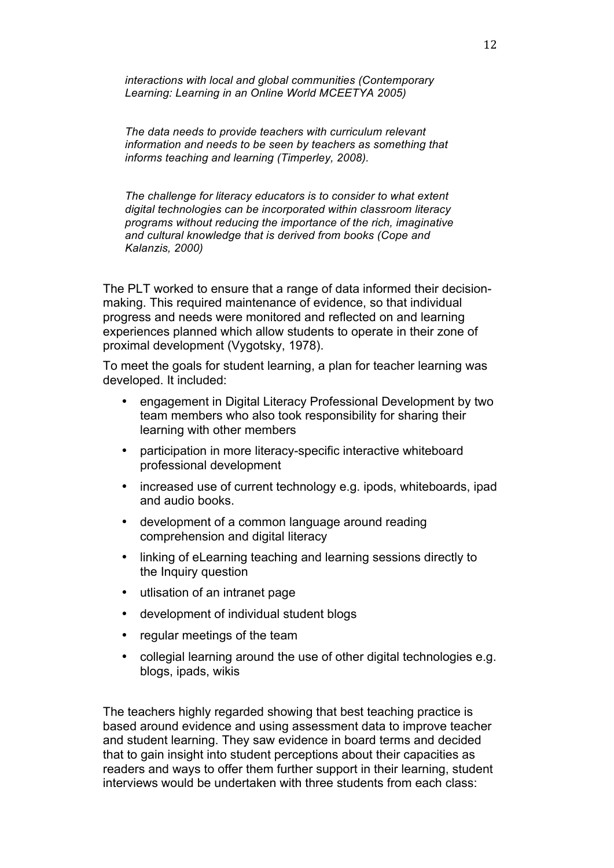*interactions with local and global communities (Contemporary Learning: Learning in an Online World MCEETYA 2005)*

*The data needs to provide teachers with curriculum relevant information and needs to be seen by teachers as something that informs teaching and learning (Timperley, 2008).* 

*The challenge for literacy educators is to consider to what extent digital technologies can be incorporated within classroom literacy programs without reducing the importance of the rich, imaginative and cultural knowledge that is derived from books (Cope and Kalanzis, 2000)*

The PLT worked to ensure that a range of data informed their decisionmaking. This required maintenance of evidence, so that individual progress and needs were monitored and reflected on and learning experiences planned which allow students to operate in their zone of proximal development (Vygotsky, 1978).

To meet the goals for student learning, a plan for teacher learning was developed. It included:

- engagement in Digital Literacy Professional Development by two team members who also took responsibility for sharing their learning with other members
- participation in more literacy-specific interactive whiteboard professional development
- increased use of current technology e.g. ipods, whiteboards, ipad and audio books.
- development of a common language around reading comprehension and digital literacy
- linking of eLearning teaching and learning sessions directly to the Inquiry question
- utlisation of an intranet page
- development of individual student blogs
- regular meetings of the team
- collegial learning around the use of other digital technologies e.g. blogs, ipads, wikis

The teachers highly regarded showing that best teaching practice is based around evidence and using assessment data to improve teacher and student learning. They saw evidence in board terms and decided that to gain insight into student perceptions about their capacities as readers and ways to offer them further support in their learning, student interviews would be undertaken with three students from each class: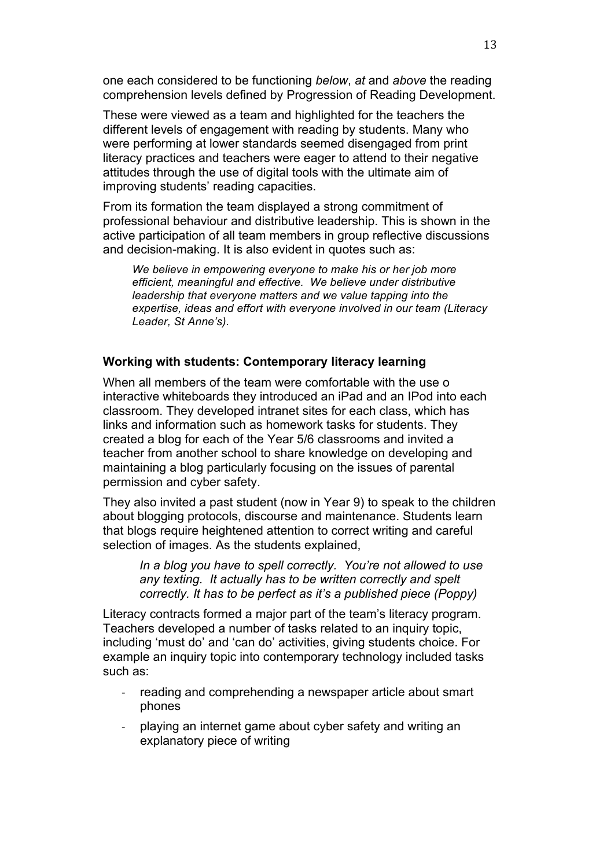one each considered to be functioning *below*, *at* and *above* the reading comprehension levels defined by Progression of Reading Development.

These were viewed as a team and highlighted for the teachers the different levels of engagement with reading by students. Many who were performing at lower standards seemed disengaged from print literacy practices and teachers were eager to attend to their negative attitudes through the use of digital tools with the ultimate aim of improving students' reading capacities.

From its formation the team displayed a strong commitment of professional behaviour and distributive leadership. This is shown in the active participation of all team members in group reflective discussions and decision-making. It is also evident in quotes such as:

*We believe in empowering everyone to make his or her job more efficient, meaningful and effective. We believe under distributive leadership that everyone matters and we value tapping into the expertise, ideas and effort with everyone involved in our team (Literacy Leader, St Anne's).* 

# **Working with students: Contemporary literacy learning**

When all members of the team were comfortable with the use o interactive whiteboards they introduced an iPad and an IPod into each classroom. They developed intranet sites for each class, which has links and information such as homework tasks for students. They created a blog for each of the Year 5/6 classrooms and invited a teacher from another school to share knowledge on developing and maintaining a blog particularly focusing on the issues of parental permission and cyber safety.

They also invited a past student (now in Year 9) to speak to the children about blogging protocols, discourse and maintenance. Students learn that blogs require heightened attention to correct writing and careful selection of images. As the students explained,

*In a blog you have to spell correctly. You're not allowed to use any texting. It actually has to be written correctly and spelt correctly. It has to be perfect as it's a published piece (Poppy)*

Literacy contracts formed a major part of the team's literacy program. Teachers developed a number of tasks related to an inquiry topic, including 'must do' and 'can do' activities, giving students choice. For example an inquiry topic into contemporary technology included tasks such as:

- reading and comprehending a newspaper article about smart phones
- playing an internet game about cyber safety and writing an explanatory piece of writing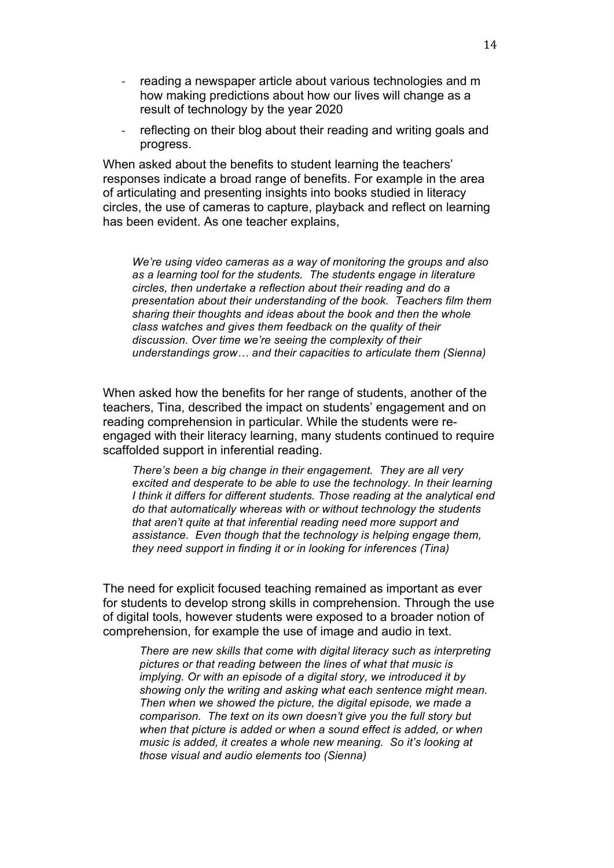- reading a newspaper article about various technologies and m how making predictions about how our lives will change as a result of technology by the year 2020
- reflecting on their blog about their reading and writing goals and progress.

When asked about the benefits to student learning the teachers' responses indicate a broad range of benefits. For example in the area of articulating and presenting insights into books studied in literacy circles, the use of cameras to capture, playback and reflect on learning has been evident. As one teacher explains,

*We're using video cameras as a way of monitoring the groups and also as a learning tool for the students. The students engage in literature circles, then undertake a reflection about their reading and do a presentation about their understanding of the book. Teachers film them sharing their thoughts and ideas about the book and then the whole class watches and gives them feedback on the quality of their discussion. Over time we're seeing the complexity of their understandings grow… and their capacities to articulate them (Sienna)*

When asked how the benefits for her range of students, another of the teachers, Tina, described the impact on students' engagement and on reading comprehension in particular. While the students were reengaged with their literacy learning, many students continued to require scaffolded support in inferential reading.

*There's been a big change in their engagement. They are all very excited and desperate to be able to use the technology. In their learning I think it differs for different students. Those reading at the analytical end do that automatically whereas with or without technology the students that aren't quite at that inferential reading need more support and assistance. Even though that the technology is helping engage them, they need support in finding it or in looking for inferences (Tina)*

The need for explicit focused teaching remained as important as ever for students to develop strong skills in comprehension. Through the use of digital tools, however students were exposed to a broader notion of comprehension, for example the use of image and audio in text.

*There are new skills that come with digital literacy such as interpreting pictures or that reading between the lines of what that music is implying. Or with an episode of a digital story, we introduced it by showing only the writing and asking what each sentence might mean. Then when we showed the picture, the digital episode, we made a comparison. The text on its own doesn't give you the full story but when that picture is added or when a sound effect is added, or when music is added, it creates a whole new meaning. So it's looking at those visual and audio elements too (Sienna)*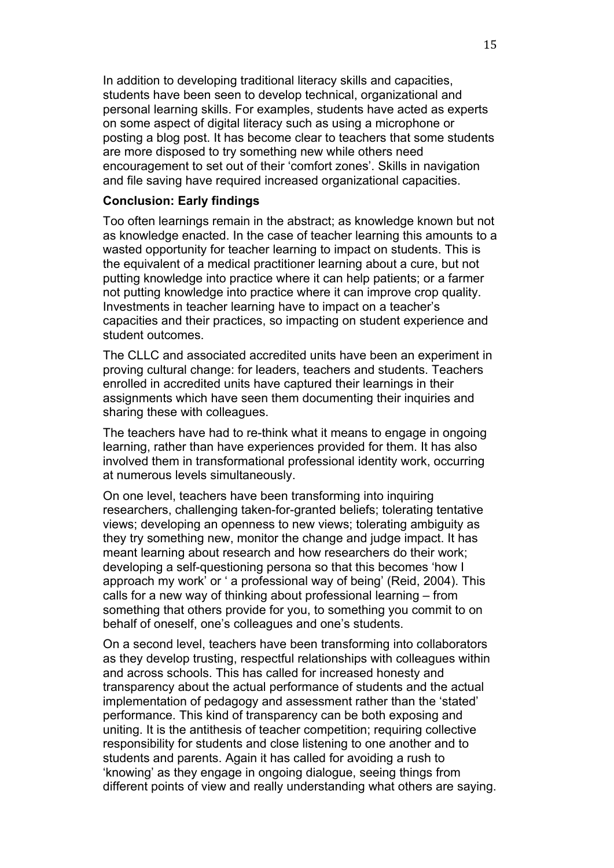In addition to developing traditional literacy skills and capacities, students have been seen to develop technical, organizational and personal learning skills. For examples, students have acted as experts on some aspect of digital literacy such as using a microphone or posting a blog post. It has become clear to teachers that some students are more disposed to try something new while others need encouragement to set out of their 'comfort zones'. Skills in navigation and file saving have required increased organizational capacities.

# **Conclusion: Early findings**

Too often learnings remain in the abstract; as knowledge known but not as knowledge enacted. In the case of teacher learning this amounts to a wasted opportunity for teacher learning to impact on students. This is the equivalent of a medical practitioner learning about a cure, but not putting knowledge into practice where it can help patients; or a farmer not putting knowledge into practice where it can improve crop quality. Investments in teacher learning have to impact on a teacher's capacities and their practices, so impacting on student experience and student outcomes.

The CLLC and associated accredited units have been an experiment in proving cultural change: for leaders, teachers and students. Teachers enrolled in accredited units have captured their learnings in their assignments which have seen them documenting their inquiries and sharing these with colleagues.

The teachers have had to re-think what it means to engage in ongoing learning, rather than have experiences provided for them. It has also involved them in transformational professional identity work, occurring at numerous levels simultaneously.

On one level, teachers have been transforming into inquiring researchers, challenging taken-for-granted beliefs; tolerating tentative views; developing an openness to new views; tolerating ambiguity as they try something new, monitor the change and judge impact. It has meant learning about research and how researchers do their work; developing a self-questioning persona so that this becomes 'how I approach my work' or ' a professional way of being' (Reid, 2004). This calls for a new way of thinking about professional learning – from something that others provide for you, to something you commit to on behalf of oneself, one's colleagues and one's students.

On a second level, teachers have been transforming into collaborators as they develop trusting, respectful relationships with colleagues within and across schools. This has called for increased honesty and transparency about the actual performance of students and the actual implementation of pedagogy and assessment rather than the 'stated' performance. This kind of transparency can be both exposing and uniting. It is the antithesis of teacher competition; requiring collective responsibility for students and close listening to one another and to students and parents. Again it has called for avoiding a rush to 'knowing' as they engage in ongoing dialogue, seeing things from different points of view and really understanding what others are saying.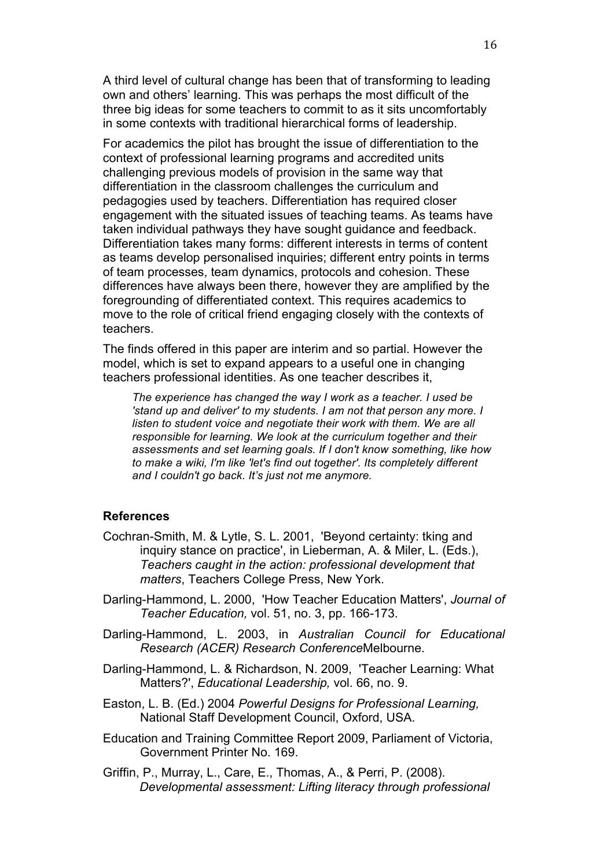A third level of cultural change has been that of transforming to leading own and others' learning. This was perhaps the most difficult of the three big ideas for some teachers to commit to as it sits uncomfortably in some contexts with traditional hierarchical forms of leadership.

For academics the pilot has brought the issue of differentiation to the context of professional learning programs and accredited units challenging previous models of provision in the same way that differentiation in the classroom challenges the curriculum and pedagogies used by teachers. Differentiation has required closer engagement with the situated issues of teaching teams. As teams have taken individual pathways they have sought guidance and feedback. Differentiation takes many forms: different interests in terms of content as teams develop personalised inquiries; different entry points in terms of team processes, team dynamics, protocols and cohesion. These differences have always been there, however they are amplified by the foregrounding of differentiated context. This requires academics to move to the role of critical friend engaging closely with the contexts of teachers.

The finds offered in this paper are interim and so partial. However the model, which is set to expand appears to a useful one in changing teachers professional identities. As one teacher describes it,

*The experience has changed the way I work as a teacher. I used be 'stand up and deliver' to my students. I am not that person any more. I listen to student voice and negotiate their work with them. We are all responsible for learning. We look at the curriculum together and their assessments and set learning goals. If I don't know something, like how to make a wiki, I'm like 'let's find out together'. Its completely different and I couldn't go back. It's just not me anymore.*

# **References**

- Cochran-Smith, M. & Lytle, S. L. 2001, 'Beyond certainty: tking and inquiry stance on practice', in Lieberman, A. & Miler, L. (Eds.), *Teachers caught in the action: professional development that matters*, Teachers College Press, New York.
- Darling-Hammond, L. 2000, 'How Teacher Education Matters', *Journal of Teacher Education,* vol. 51, no. 3, pp. 166-173.
- Darling-Hammond, L. 2003, in *Australian Council for Educational Research (ACER) Research Conference*Melbourne.
- Darling-Hammond, L. & Richardson, N. 2009, 'Teacher Learning: What Matters?', *Educational Leadership,* vol. 66, no. 9.
- Easton, L. B. (Ed.) 2004 *Powerful Designs for Professional Learning,*  National Staff Development Council, Oxford, USA.
- Education and Training Committee Report 2009, Parliament of Victoria, Government Printer No. 169.
- Griffin, P., Murray, L., Care, E., Thomas, A., & Perri, P. (2008). *Developmental assessment: Lifting literacy through professional*